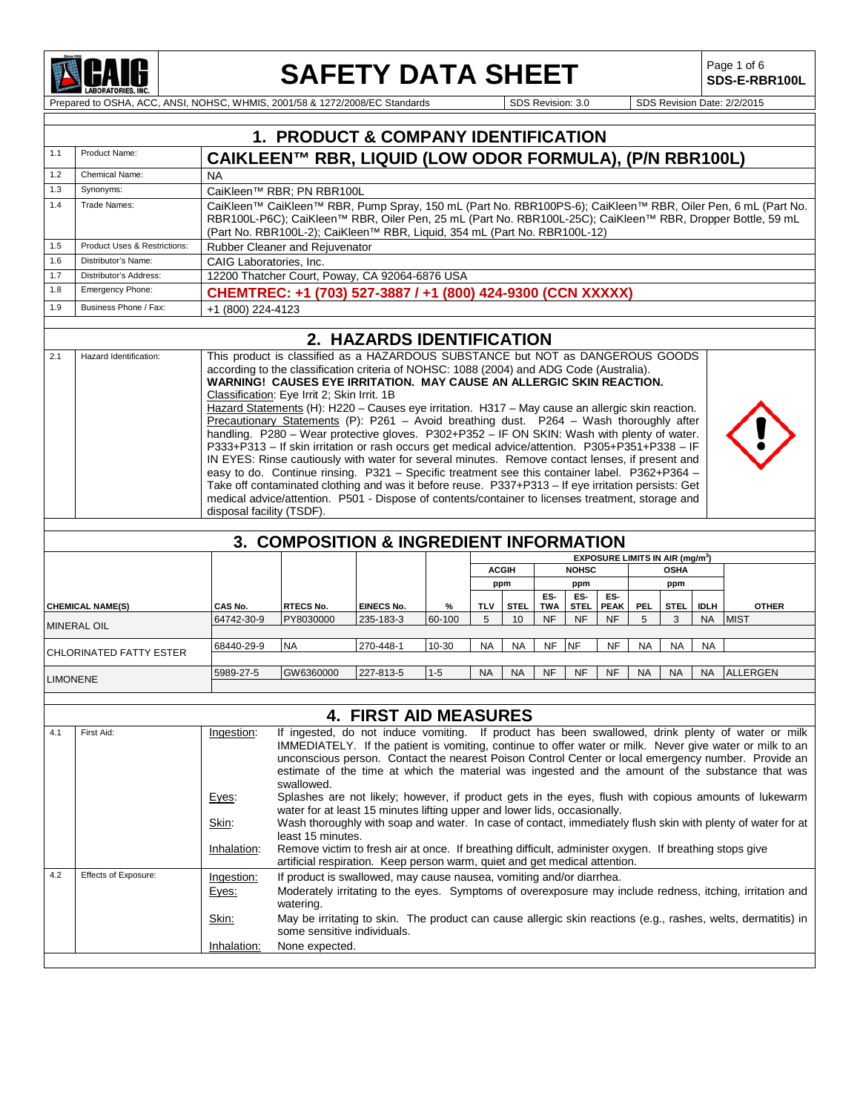

# **SAFETY DATA SHEET**

Page 1 of 6<br>**SDS-E-RBR100L** 

Prepared to OSHA, ACC, ANSI, NOHSC, WHMIS, 2001/58 & 1272/2008/EC Standards SDS Revision: 3.0 SDS Revision Date: 2/2/2015

|                 |                              |                           | 1. PRODUCT & COMPANY IDENTIFICATION                                                                                                                                                              |                              |         |                                                    |                                             |            |             |             |           |             |             |                                                                                                               |
|-----------------|------------------------------|---------------------------|--------------------------------------------------------------------------------------------------------------------------------------------------------------------------------------------------|------------------------------|---------|----------------------------------------------------|---------------------------------------------|------------|-------------|-------------|-----------|-------------|-------------|---------------------------------------------------------------------------------------------------------------|
| 1.1             | Product Name:                |                           | CAIKLEEN™ RBR, LIQUID (LOW ODOR FORMULA), (P/N RBR100L)                                                                                                                                          |                              |         |                                                    |                                             |            |             |             |           |             |             |                                                                                                               |
| 1.2             | Chemical Name:               | <b>NA</b>                 |                                                                                                                                                                                                  |                              |         |                                                    |                                             |            |             |             |           |             |             |                                                                                                               |
| 1.3             | Synonyms:                    |                           | CaiKleen™ RBR; PN RBR100L                                                                                                                                                                        |                              |         |                                                    |                                             |            |             |             |           |             |             |                                                                                                               |
| 1.4             | Trade Names:                 |                           |                                                                                                                                                                                                  |                              |         |                                                    |                                             |            |             |             |           |             |             | CaiKleen™ CaiKleen™ RBR, Pump Spray, 150 mL (Part No. RBR100PS-6); CaiKleen™ RBR, Oiler Pen, 6 mL (Part No.   |
|                 |                              |                           | (Part No. RBR100L-2); CaiKleen™ RBR, Liquid, 354 mL (Part No. RBR100L-12)                                                                                                                        |                              |         |                                                    |                                             |            |             |             |           |             |             | RBR100L-P6C); CaiKleen™ RBR, Oiler Pen, 25 mL (Part No. RBR100L-25C); CaiKleen™ RBR, Dropper Bottle, 59 mL    |
| 1.5             | Product Uses & Restrictions: |                           | <b>Rubber Cleaner and Rejuvenator</b>                                                                                                                                                            |                              |         |                                                    |                                             |            |             |             |           |             |             |                                                                                                               |
| 1.6             | Distributor's Name:          |                           | CAIG Laboratories, Inc.                                                                                                                                                                          |                              |         |                                                    |                                             |            |             |             |           |             |             |                                                                                                               |
| 1.7             | Distributor's Address:       |                           | 12200 Thatcher Court, Poway, CA 92064-6876 USA                                                                                                                                                   |                              |         |                                                    |                                             |            |             |             |           |             |             |                                                                                                               |
| 1.8             | <b>Emergency Phone:</b>      |                           | CHEMTREC: +1 (703) 527-3887 / +1 (800) 424-9300 (CCN XXXXX)                                                                                                                                      |                              |         |                                                    |                                             |            |             |             |           |             |             |                                                                                                               |
| 1.9             | Business Phone / Fax:        | +1 (800) 224-4123         |                                                                                                                                                                                                  |                              |         |                                                    |                                             |            |             |             |           |             |             |                                                                                                               |
|                 |                              |                           |                                                                                                                                                                                                  |                              |         |                                                    |                                             |            |             |             |           |             |             |                                                                                                               |
|                 |                              |                           |                                                                                                                                                                                                  | 2. HAZARDS IDENTIFICATION    |         |                                                    |                                             |            |             |             |           |             |             |                                                                                                               |
| 2.1             | Hazard Identification:       |                           | This product is classified as a HAZARDOUS SUBSTANCE but NOT as DANGEROUS GOODS                                                                                                                   |                              |         |                                                    |                                             |            |             |             |           |             |             |                                                                                                               |
|                 |                              |                           | according to the classification criteria of NOHSC: 1088 (2004) and ADG Code (Australia).<br><b>WARNING! CAUSES EYE IRRITATION. MAY CAUSE AN ALLERGIC SKIN REACTION.</b>                          |                              |         |                                                    |                                             |            |             |             |           |             |             |                                                                                                               |
|                 |                              |                           | Classification: Eye Irrit 2; Skin Irrit. 1B                                                                                                                                                      |                              |         |                                                    |                                             |            |             |             |           |             |             |                                                                                                               |
|                 |                              |                           | Hazard Statements (H): H220 - Causes eye irritation. H317 - May cause an allergic skin reaction.                                                                                                 |                              |         |                                                    |                                             |            |             |             |           |             |             |                                                                                                               |
|                 |                              |                           | Precautionary Statements (P): P261 - Avoid breathing dust. P264 - Wash thoroughly after                                                                                                          |                              |         |                                                    |                                             |            |             |             |           |             |             |                                                                                                               |
|                 |                              |                           | handling. P280 - Wear protective gloves. P302+P352 - IF ON SKIN: Wash with plenty of water.                                                                                                      |                              |         |                                                    |                                             |            |             |             |           |             |             |                                                                                                               |
|                 |                              |                           | P333+P313 - If skin irritation or rash occurs get medical advice/attention. P305+P351+P338 - IF                                                                                                  |                              |         |                                                    |                                             |            |             |             |           |             |             |                                                                                                               |
|                 |                              |                           | IN EYES: Rinse cautiously with water for several minutes. Remove contact lenses, if present and<br>easy to do. Continue rinsing. P321 - Specific treatment see this container label. P362+P364 - |                              |         |                                                    |                                             |            |             |             |           |             |             |                                                                                                               |
|                 |                              |                           | Take off contaminated clothing and was it before reuse. P337+P313 - If eye irritation persists: Get                                                                                              |                              |         |                                                    |                                             |            |             |             |           |             |             |                                                                                                               |
|                 |                              |                           | medical advice/attention. P501 - Dispose of contents/container to licenses treatment, storage and                                                                                                |                              |         |                                                    |                                             |            |             |             |           |             |             |                                                                                                               |
|                 |                              | disposal facility (TSDF). |                                                                                                                                                                                                  |                              |         |                                                    |                                             |            |             |             |           |             |             |                                                                                                               |
|                 |                              |                           |                                                                                                                                                                                                  |                              |         |                                                    |                                             |            |             |             |           |             |             |                                                                                                               |
|                 |                              |                           | 3. COMPOSITION & INGREDIENT INFORMATION                                                                                                                                                          |                              |         |                                                    |                                             |            |             |             |           |             |             |                                                                                                               |
|                 |                              |                           |                                                                                                                                                                                                  |                              |         |                                                    | EXPOSURE LIMITS IN AIR (mg/m <sup>3</sup> ) |            |             |             |           |             |             |                                                                                                               |
|                 |                              |                           |                                                                                                                                                                                                  |                              |         | <b>NOHSC</b><br><b>ACGIH</b><br><b>OSHA</b><br>ppm |                                             |            |             |             |           |             |             |                                                                                                               |
|                 |                              |                           |                                                                                                                                                                                                  |                              |         |                                                    |                                             | ES-        | ppm<br>ES-  | ES-         |           | ppm         |             |                                                                                                               |
|                 | <b>CHEMICAL NAME(S)</b>      | CAS No.                   | RTECS No.                                                                                                                                                                                        | <b>EINECS No.</b>            | %       | <b>TLV</b>                                         | <b>STEL</b>                                 | <b>TWA</b> | <b>STEL</b> | <b>PEAK</b> | PEL       | <b>STEL</b> | <b>IDLH</b> | <b>OTHER</b>                                                                                                  |
|                 | <b>MINERAL OIL</b>           | 64742-30-9                | PY8030000                                                                                                                                                                                        | 235-183-3                    | 60-100  | 5                                                  | 10                                          | <b>NF</b>  | <b>NF</b>   | <b>NF</b>   | 5         | 3           | <b>NA</b>   | <b>MIST</b>                                                                                                   |
|                 | CHLORINATED FATTY ESTER      | 68440-29-9                | <b>NA</b>                                                                                                                                                                                        | 270-448-1                    | 10-30   | <b>NA</b>                                          | <b>NA</b>                                   | <b>NF</b>  | <b>NF</b>   | NF          | <b>NA</b> | <b>NA</b>   | <b>NA</b>   |                                                                                                               |
|                 |                              |                           |                                                                                                                                                                                                  |                              |         |                                                    |                                             |            |             |             |           |             |             |                                                                                                               |
| <b>LIMONENE</b> |                              | 5989-27-5                 | GW6360000                                                                                                                                                                                        | 227-813-5                    | $1 - 5$ | <b>NA</b>                                          | <b>NA</b>                                   | <b>NF</b>  | <b>NF</b>   | <b>NF</b>   | <b>NA</b> | <b>NA</b>   | <b>NA</b>   | <b>ALLERGEN</b>                                                                                               |
|                 |                              |                           |                                                                                                                                                                                                  |                              |         |                                                    |                                             |            |             |             |           |             |             |                                                                                                               |
|                 |                              |                           |                                                                                                                                                                                                  | <b>4. FIRST AID MEASURES</b> |         |                                                    |                                             |            |             |             |           |             |             |                                                                                                               |
| 4.1             | First Aid:                   | Ingestion:                |                                                                                                                                                                                                  |                              |         |                                                    |                                             |            |             |             |           |             |             | If ingested, do not induce vomiting. If product has been swallowed, drink plenty of water or milk             |
|                 |                              |                           |                                                                                                                                                                                                  |                              |         |                                                    |                                             |            |             |             |           |             |             | IMMEDIATELY. If the patient is vomiting, continue to offer water or milk. Never give water or milk to an      |
|                 |                              |                           |                                                                                                                                                                                                  |                              |         |                                                    |                                             |            |             |             |           |             |             | unconscious person. Contact the nearest Poison Control Center or local emergency number. Provide an           |
|                 |                              |                           |                                                                                                                                                                                                  |                              |         |                                                    |                                             |            |             |             |           |             |             | estimate of the time at which the material was ingested and the amount of the substance that was              |
|                 |                              |                           | swallowed.                                                                                                                                                                                       |                              |         |                                                    |                                             |            |             |             |           |             |             |                                                                                                               |
|                 |                              | Eyes:                     |                                                                                                                                                                                                  |                              |         |                                                    |                                             |            |             |             |           |             |             | Splashes are not likely; however, if product gets in the eyes, flush with copious amounts of lukewarm         |
|                 |                              | Skin:                     | water for at least 15 minutes lifting upper and lower lids, occasionally.                                                                                                                        |                              |         |                                                    |                                             |            |             |             |           |             |             | Wash thoroughly with soap and water. In case of contact, immediately flush skin with plenty of water for at   |
|                 |                              |                           | least 15 minutes.                                                                                                                                                                                |                              |         |                                                    |                                             |            |             |             |           |             |             |                                                                                                               |
|                 |                              | Inhalation:               | Remove victim to fresh air at once. If breathing difficult, administer oxygen. If breathing stops give<br>artificial respiration. Keep person warm, quiet and get medical attention.             |                              |         |                                                    |                                             |            |             |             |           |             |             |                                                                                                               |
| 4.2             | Effects of Exposure:         | Ingestion:                | If product is swallowed, may cause nausea, vomiting and/or diarrhea.                                                                                                                             |                              |         |                                                    |                                             |            |             |             |           |             |             |                                                                                                               |
|                 |                              | Eyes:                     |                                                                                                                                                                                                  |                              |         |                                                    |                                             |            |             |             |           |             |             | Moderately irritating to the eyes. Symptoms of overexposure may include redness, itching, irritation and      |
|                 |                              |                           | watering.                                                                                                                                                                                        |                              |         |                                                    |                                             |            |             |             |           |             |             |                                                                                                               |
|                 |                              | <u>Skin:</u>              | some sensitive individuals.                                                                                                                                                                      |                              |         |                                                    |                                             |            |             |             |           |             |             | May be irritating to skin. The product can cause allergic skin reactions (e.g., rashes, welts, dermatitis) in |
|                 |                              | Inhalation:               | None expected.                                                                                                                                                                                   |                              |         |                                                    |                                             |            |             |             |           |             |             |                                                                                                               |
|                 |                              |                           |                                                                                                                                                                                                  |                              |         |                                                    |                                             |            |             |             |           |             |             |                                                                                                               |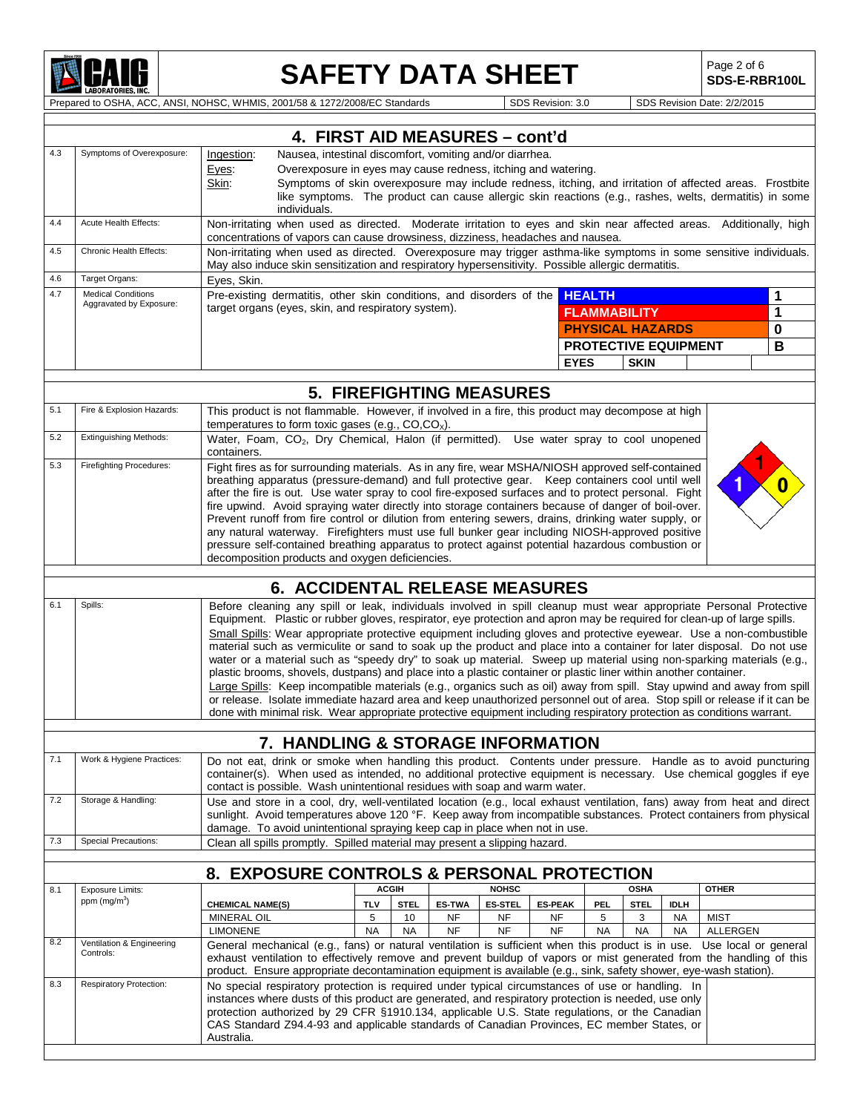

 $\mathbf I$ 

## **SAFETY DATA SHEET**

Page 2 of 6<br>**SDS-E-RBR100L** 

Prepared to OSHA, ACC, ANSI, NOHSC, WHMIS, 2001/58 & 1272/2008/EC Standards SDS Revision: 3.0 SDS Revision Date: 2/2/2015

|     |                                                                                                                                                                                                                                                                                                                                                                                                                                                                                                                                                                                                                                                                                                                                                                                                                                                                                                                                                                                                                                                                                                                                     | 4. FIRST AID MEASURES - cont'd                                                                                                                                                                                                                                                                                                                                                                                                                                                                                                                                                                                                                                                                                                                                                     |                 |                   |                                 |                      |                      |                 |                             |                    |                 |              |
|-----|-------------------------------------------------------------------------------------------------------------------------------------------------------------------------------------------------------------------------------------------------------------------------------------------------------------------------------------------------------------------------------------------------------------------------------------------------------------------------------------------------------------------------------------------------------------------------------------------------------------------------------------------------------------------------------------------------------------------------------------------------------------------------------------------------------------------------------------------------------------------------------------------------------------------------------------------------------------------------------------------------------------------------------------------------------------------------------------------------------------------------------------|------------------------------------------------------------------------------------------------------------------------------------------------------------------------------------------------------------------------------------------------------------------------------------------------------------------------------------------------------------------------------------------------------------------------------------------------------------------------------------------------------------------------------------------------------------------------------------------------------------------------------------------------------------------------------------------------------------------------------------------------------------------------------------|-----------------|-------------------|---------------------------------|----------------------|----------------------|-----------------|-----------------------------|--------------------|-----------------|--------------|
| 4.3 | Symptoms of Overexposure:                                                                                                                                                                                                                                                                                                                                                                                                                                                                                                                                                                                                                                                                                                                                                                                                                                                                                                                                                                                                                                                                                                           | Nausea, intestinal discomfort, vomiting and/or diarrhea.<br>Ingestion:<br>Overexposure in eyes may cause redness, itching and watering.<br>Eyes:<br>Symptoms of skin overexposure may include redness, itching, and irritation of affected areas. Frostbite<br>Skin:<br>like symptoms. The product can cause allergic skin reactions (e.g., rashes, welts, dermatitis) in some<br>individuals.                                                                                                                                                                                                                                                                                                                                                                                     |                 |                   |                                 |                      |                      |                 |                             |                    |                 |              |
| 4.4 | Acute Health Effects:                                                                                                                                                                                                                                                                                                                                                                                                                                                                                                                                                                                                                                                                                                                                                                                                                                                                                                                                                                                                                                                                                                               | Non-irritating when used as directed. Moderate irritation to eyes and skin near affected areas. Additionally, high<br>concentrations of vapors can cause drowsiness, dizziness, headaches and nausea.                                                                                                                                                                                                                                                                                                                                                                                                                                                                                                                                                                              |                 |                   |                                 |                      |                      |                 |                             |                    |                 |              |
| 4.5 | Chronic Health Effects:                                                                                                                                                                                                                                                                                                                                                                                                                                                                                                                                                                                                                                                                                                                                                                                                                                                                                                                                                                                                                                                                                                             | Non-irritating when used as directed. Overexposure may trigger asthma-like symptoms in some sensitive individuals.<br>May also induce skin sensitization and respiratory hypersensitivity. Possible allergic dermatitis.                                                                                                                                                                                                                                                                                                                                                                                                                                                                                                                                                           |                 |                   |                                 |                      |                      |                 |                             |                    |                 |              |
| 4.6 | Target Organs:                                                                                                                                                                                                                                                                                                                                                                                                                                                                                                                                                                                                                                                                                                                                                                                                                                                                                                                                                                                                                                                                                                                      | Eyes, Skin.                                                                                                                                                                                                                                                                                                                                                                                                                                                                                                                                                                                                                                                                                                                                                                        |                 |                   |                                 |                      |                      |                 |                             |                    |                 |              |
| 4.7 | <b>Medical Conditions</b><br>Aggravated by Exposure:                                                                                                                                                                                                                                                                                                                                                                                                                                                                                                                                                                                                                                                                                                                                                                                                                                                                                                                                                                                                                                                                                | Pre-existing dermatitis, other skin conditions, and disorders of the HEALTH                                                                                                                                                                                                                                                                                                                                                                                                                                                                                                                                                                                                                                                                                                        |                 |                   |                                 |                      |                      |                 |                             |                    |                 | 1            |
|     |                                                                                                                                                                                                                                                                                                                                                                                                                                                                                                                                                                                                                                                                                                                                                                                                                                                                                                                                                                                                                                                                                                                                     | target organs (eyes, skin, and respiratory system).                                                                                                                                                                                                                                                                                                                                                                                                                                                                                                                                                                                                                                                                                                                                |                 |                   |                                 |                      |                      |                 | <b>FLAMMABILITY</b>         |                    |                 | $\mathbf{1}$ |
|     |                                                                                                                                                                                                                                                                                                                                                                                                                                                                                                                                                                                                                                                                                                                                                                                                                                                                                                                                                                                                                                                                                                                                     |                                                                                                                                                                                                                                                                                                                                                                                                                                                                                                                                                                                                                                                                                                                                                                                    |                 |                   |                                 |                      |                      |                 | <b>PHYSICAL HAZARDS</b>     |                    |                 | 0            |
|     |                                                                                                                                                                                                                                                                                                                                                                                                                                                                                                                                                                                                                                                                                                                                                                                                                                                                                                                                                                                                                                                                                                                                     |                                                                                                                                                                                                                                                                                                                                                                                                                                                                                                                                                                                                                                                                                                                                                                                    |                 |                   |                                 |                      |                      |                 | <b>PROTECTIVE EQUIPMENT</b> |                    |                 | B            |
|     |                                                                                                                                                                                                                                                                                                                                                                                                                                                                                                                                                                                                                                                                                                                                                                                                                                                                                                                                                                                                                                                                                                                                     |                                                                                                                                                                                                                                                                                                                                                                                                                                                                                                                                                                                                                                                                                                                                                                                    |                 |                   |                                 |                      |                      | <b>EYES</b>     | <b>SKIN</b>                 |                    |                 |              |
|     |                                                                                                                                                                                                                                                                                                                                                                                                                                                                                                                                                                                                                                                                                                                                                                                                                                                                                                                                                                                                                                                                                                                                     |                                                                                                                                                                                                                                                                                                                                                                                                                                                                                                                                                                                                                                                                                                                                                                                    |                 |                   | <b>5. FIREFIGHTING MEASURES</b> |                      |                      |                 |                             |                    |                 |              |
| 5.1 | Fire & Explosion Hazards:                                                                                                                                                                                                                                                                                                                                                                                                                                                                                                                                                                                                                                                                                                                                                                                                                                                                                                                                                                                                                                                                                                           | This product is not flammable. However, if involved in a fire, this product may decompose at high                                                                                                                                                                                                                                                                                                                                                                                                                                                                                                                                                                                                                                                                                  |                 |                   |                                 |                      |                      |                 |                             |                    |                 |              |
| 5.2 | <b>Extinguishing Methods:</b>                                                                                                                                                                                                                                                                                                                                                                                                                                                                                                                                                                                                                                                                                                                                                                                                                                                                                                                                                                                                                                                                                                       | temperatures to form toxic gases (e.g., CO,CO <sub>x</sub> ).<br>Water, Foam, CO <sub>2</sub> , Dry Chemical, Halon (if permitted). Use water spray to cool unopened<br>containers.                                                                                                                                                                                                                                                                                                                                                                                                                                                                                                                                                                                                |                 |                   |                                 |                      |                      |                 |                             |                    |                 |              |
| 5.3 | <b>Firefighting Procedures:</b>                                                                                                                                                                                                                                                                                                                                                                                                                                                                                                                                                                                                                                                                                                                                                                                                                                                                                                                                                                                                                                                                                                     | Fight fires as for surrounding materials. As in any fire, wear MSHA/NIOSH approved self-contained<br>breathing apparatus (pressure-demand) and full protective gear. Keep containers cool until well<br>after the fire is out. Use water spray to cool fire-exposed surfaces and to protect personal. Fight<br>fire upwind. Avoid spraying water directly into storage containers because of danger of boil-over.<br>Prevent runoff from fire control or dilution from entering sewers, drains, drinking water supply, or<br>any natural waterway. Firefighters must use full bunker gear including NIOSH-approved positive<br>pressure self-contained breathing apparatus to protect against potential hazardous combustion or<br>decomposition products and oxygen deficiencies. |                 |                   |                                 |                      |                      |                 |                             |                    |                 |              |
|     |                                                                                                                                                                                                                                                                                                                                                                                                                                                                                                                                                                                                                                                                                                                                                                                                                                                                                                                                                                                                                                                                                                                                     |                                                                                                                                                                                                                                                                                                                                                                                                                                                                                                                                                                                                                                                                                                                                                                                    |                 |                   |                                 |                      |                      |                 |                             |                    |                 |              |
| 6.1 | <b>6. ACCIDENTAL RELEASE MEASURES</b>                                                                                                                                                                                                                                                                                                                                                                                                                                                                                                                                                                                                                                                                                                                                                                                                                                                                                                                                                                                                                                                                                               |                                                                                                                                                                                                                                                                                                                                                                                                                                                                                                                                                                                                                                                                                                                                                                                    |                 |                   |                                 |                      |                      |                 |                             |                    |                 |              |
|     | Spills:<br>Before cleaning any spill or leak, individuals involved in spill cleanup must wear appropriate Personal Protective<br>Equipment. Plastic or rubber gloves, respirator, eye protection and apron may be required for clean-up of large spills.<br>Small Spills: Wear appropriate protective equipment including gloves and protective eyewear. Use a non-combustible<br>material such as vermiculite or sand to soak up the product and place into a container for later disposal. Do not use<br>water or a material such as "speedy dry" to soak up material. Sweep up material using non-sparking materials (e.g.,<br>plastic brooms, shovels, dustpans) and place into a plastic container or plastic liner within another container.<br>Large Spills: Keep incompatible materials (e.g., organics such as oil) away from spill. Stay upwind and away from spill<br>or release. Isolate immediate hazard area and keep unauthorized personnel out of area. Stop spill or release if it can be<br>done with minimal risk. Wear appropriate protective equipment including respiratory protection as conditions warrant. |                                                                                                                                                                                                                                                                                                                                                                                                                                                                                                                                                                                                                                                                                                                                                                                    |                 |                   |                                 |                      |                      |                 |                             |                    |                 |              |
|     |                                                                                                                                                                                                                                                                                                                                                                                                                                                                                                                                                                                                                                                                                                                                                                                                                                                                                                                                                                                                                                                                                                                                     |                                                                                                                                                                                                                                                                                                                                                                                                                                                                                                                                                                                                                                                                                                                                                                                    |                 |                   |                                 |                      |                      |                 |                             |                    |                 |              |
|     |                                                                                                                                                                                                                                                                                                                                                                                                                                                                                                                                                                                                                                                                                                                                                                                                                                                                                                                                                                                                                                                                                                                                     | 7. HANDLING & STORAGE INFORMATION                                                                                                                                                                                                                                                                                                                                                                                                                                                                                                                                                                                                                                                                                                                                                  |                 |                   |                                 |                      |                      |                 |                             |                    |                 |              |
| 7.1 | Work & Hygiene Practices:                                                                                                                                                                                                                                                                                                                                                                                                                                                                                                                                                                                                                                                                                                                                                                                                                                                                                                                                                                                                                                                                                                           | Do not eat, drink or smoke when handling this product. Contents under pressure. Handle as to avoid puncturing<br>container(s). When used as intended, no additional protective equipment is necessary. Use chemical goggles if eye<br>contact is possible. Wash unintentional residues with soap and warm water.                                                                                                                                                                                                                                                                                                                                                                                                                                                                   |                 |                   |                                 |                      |                      |                 |                             |                    |                 |              |
| 7.2 | Storage & Handling:                                                                                                                                                                                                                                                                                                                                                                                                                                                                                                                                                                                                                                                                                                                                                                                                                                                                                                                                                                                                                                                                                                                 | Use and store in a cool, dry, well-ventilated location (e.g., local exhaust ventilation, fans) away from heat and direct<br>sunlight. Avoid temperatures above 120 °F. Keep away from incompatible substances. Protect containers from physical<br>damage. To avoid unintentional spraying keep cap in place when not in use.                                                                                                                                                                                                                                                                                                                                                                                                                                                      |                 |                   |                                 |                      |                      |                 |                             |                    |                 |              |
| 7.3 | <b>Special Precautions:</b>                                                                                                                                                                                                                                                                                                                                                                                                                                                                                                                                                                                                                                                                                                                                                                                                                                                                                                                                                                                                                                                                                                         | Clean all spills promptly. Spilled material may present a slipping hazard.                                                                                                                                                                                                                                                                                                                                                                                                                                                                                                                                                                                                                                                                                                         |                 |                   |                                 |                      |                      |                 |                             |                    |                 |              |
|     |                                                                                                                                                                                                                                                                                                                                                                                                                                                                                                                                                                                                                                                                                                                                                                                                                                                                                                                                                                                                                                                                                                                                     |                                                                                                                                                                                                                                                                                                                                                                                                                                                                                                                                                                                                                                                                                                                                                                                    |                 |                   |                                 |                      |                      |                 |                             |                    |                 |              |
|     |                                                                                                                                                                                                                                                                                                                                                                                                                                                                                                                                                                                                                                                                                                                                                                                                                                                                                                                                                                                                                                                                                                                                     | 8. EXPOSURE CONTROLS & PERSONAL PROTECTION                                                                                                                                                                                                                                                                                                                                                                                                                                                                                                                                                                                                                                                                                                                                         |                 |                   |                                 |                      |                      |                 |                             |                    |                 |              |
| 8.1 | <b>Exposure Limits:</b><br>ppm $(mg/m3)$                                                                                                                                                                                                                                                                                                                                                                                                                                                                                                                                                                                                                                                                                                                                                                                                                                                                                                                                                                                                                                                                                            |                                                                                                                                                                                                                                                                                                                                                                                                                                                                                                                                                                                                                                                                                                                                                                                    |                 | <b>ACGIH</b>      |                                 | <b>NOHSC</b>         |                      |                 | <b>OSHA</b>                 |                    | <b>OTHER</b>    |              |
|     |                                                                                                                                                                                                                                                                                                                                                                                                                                                                                                                                                                                                                                                                                                                                                                                                                                                                                                                                                                                                                                                                                                                                     | <b>CHEMICAL NAME(S)</b><br><b>MINERAL OIL</b>                                                                                                                                                                                                                                                                                                                                                                                                                                                                                                                                                                                                                                                                                                                                      | <b>TLV</b><br>5 | <b>STEL</b><br>10 | <b>ES-TWA</b><br><b>NF</b>      | <b>ES-STEL</b><br>NF | <b>ES-PEAK</b><br>NF | <b>PEL</b><br>5 | <b>STEL</b><br>3            | <b>IDLH</b><br>NA. | <b>MIST</b>     |              |
|     |                                                                                                                                                                                                                                                                                                                                                                                                                                                                                                                                                                                                                                                                                                                                                                                                                                                                                                                                                                                                                                                                                                                                     | <b>LIMONENE</b>                                                                                                                                                                                                                                                                                                                                                                                                                                                                                                                                                                                                                                                                                                                                                                    | <b>NA</b>       | <b>NA</b>         | <b>NF</b>                       | <b>NF</b>            | <b>NF</b>            | <b>NA</b>       | <b>NA</b>                   | <b>NA</b>          | <b>ALLERGEN</b> |              |
| 8.2 | Ventilation & Engineering<br>Controls:                                                                                                                                                                                                                                                                                                                                                                                                                                                                                                                                                                                                                                                                                                                                                                                                                                                                                                                                                                                                                                                                                              | General mechanical (e.g., fans) or natural ventilation is sufficient when this product is in use. Use local or general<br>exhaust ventilation to effectively remove and prevent buildup of vapors or mist generated from the handling of this                                                                                                                                                                                                                                                                                                                                                                                                                                                                                                                                      |                 |                   |                                 |                      |                      |                 |                             |                    |                 |              |
| 8.3 | Respiratory Protection:                                                                                                                                                                                                                                                                                                                                                                                                                                                                                                                                                                                                                                                                                                                                                                                                                                                                                                                                                                                                                                                                                                             | product. Ensure appropriate decontamination equipment is available (e.g., sink, safety shower, eye-wash station).<br>No special respiratory protection is required under typical circumstances of use or handling. In<br>instances where dusts of this product are generated, and respiratory protection is needed, use only<br>protection authorized by 29 CFR §1910.134, applicable U.S. State regulations, or the Canadian<br>CAS Standard Z94.4-93 and applicable standards of Canadian Provinces, EC member States, or<br>Australia.                                                                                                                                                                                                                                          |                 |                   |                                 |                      |                      |                 |                             |                    |                 |              |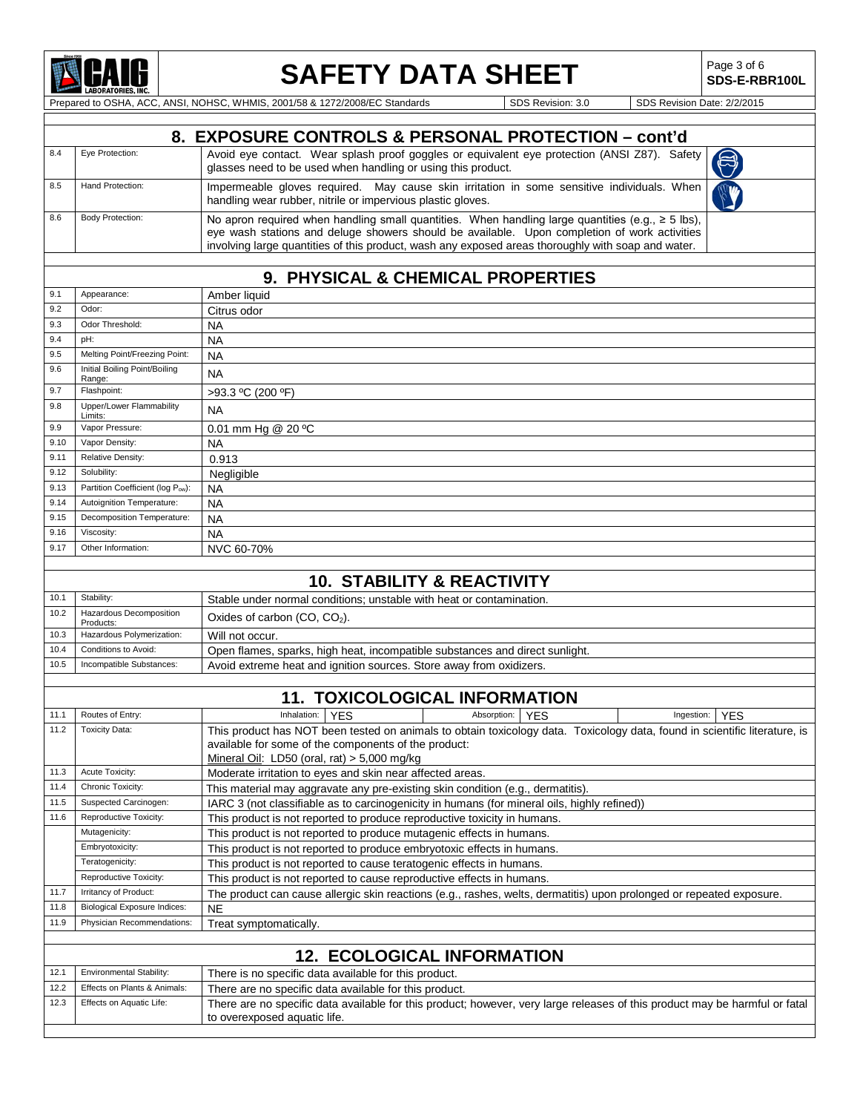

# **SAFETY DATA SHEET** Page 3 of 6

**SDS-E-RBR100L**

Prepared to OSHA, ACC, ANSI, NOHSC, WHMIS, 2001/58 & 1272/2008/EC Standards SDS Revision: 3.0 SDS Revision Date: 2/2/2015

|     | 8. EXPOSURE CONTROLS & PERSONAL PROTECTION - cont'd |                                                                                                                                                                                                                                                                                                              |  |  |  |  |
|-----|-----------------------------------------------------|--------------------------------------------------------------------------------------------------------------------------------------------------------------------------------------------------------------------------------------------------------------------------------------------------------------|--|--|--|--|
| 8.4 | Eye Protection:                                     | Avoid eye contact. Wear splash proof goggles or equivalent eye protection (ANSI Z87). Safety glasses need to be used when handling or using this product.                                                                                                                                                    |  |  |  |  |
| 8.5 | Hand Protection:                                    | Impermeable gloves required. May cause skin irritation in some sensitive individuals. When<br>handling wear rubber, nitrile or impervious plastic gloves.                                                                                                                                                    |  |  |  |  |
| 8.6 | Body Protection:                                    | No apron required when handling small quantities. When handling large quantities (e.g., $\geq$ 5 lbs),<br>eye wash stations and deluge showers should be available. Upon completion of work activities<br>involving large quantities of this product, wash any exposed areas thoroughly with soap and water. |  |  |  |  |
|     |                                                     |                                                                                                                                                                                                                                                                                                              |  |  |  |  |

### **9. PHYSICAL & CHEMICAL PROPERTIES**

| 9.1  | Appearance:                             | Amber liquid                                                                                                               |  |  |  |  |
|------|-----------------------------------------|----------------------------------------------------------------------------------------------------------------------------|--|--|--|--|
| 9.2  | Odor:                                   | Citrus odor                                                                                                                |  |  |  |  |
| 9.3  | Odor Threshold:                         | <b>NA</b>                                                                                                                  |  |  |  |  |
| 9.4  | pH:                                     | <b>NA</b>                                                                                                                  |  |  |  |  |
| 9.5  | Melting Point/Freezing Point:           | <b>NA</b>                                                                                                                  |  |  |  |  |
| 9.6  | Initial Boiling Point/Boiling<br>Range: | <b>NA</b>                                                                                                                  |  |  |  |  |
| 9.7  | Flashpoint:                             | >93.3 °C (200 °F)                                                                                                          |  |  |  |  |
| 9.8  | Upper/Lower Flammability<br>Limits:     | <b>NA</b>                                                                                                                  |  |  |  |  |
| 9.9  | Vapor Pressure:                         | 0.01 mm Hg @ 20 °C                                                                                                         |  |  |  |  |
| 9.10 | Vapor Density:                          | <b>NA</b>                                                                                                                  |  |  |  |  |
| 9.11 | Relative Density:                       | 0.913                                                                                                                      |  |  |  |  |
| 9.12 | Solubility:                             | Negligible                                                                                                                 |  |  |  |  |
| 9.13 | Partition Coefficient (log Pow):        | <b>NA</b>                                                                                                                  |  |  |  |  |
| 9.14 | Autoignition Temperature:               | <b>NA</b>                                                                                                                  |  |  |  |  |
| 9.15 | Decomposition Temperature:              | <b>NA</b>                                                                                                                  |  |  |  |  |
| 9.16 | Viscosity:                              | <b>NA</b>                                                                                                                  |  |  |  |  |
| 9.17 | Other Information:                      | NVC 60-70%                                                                                                                 |  |  |  |  |
|      |                                         |                                                                                                                            |  |  |  |  |
|      |                                         | <b>10. STABILITY &amp; REACTIVITY</b>                                                                                      |  |  |  |  |
| 10.1 | Stability:                              | Stable under normal conditions: unstable with heat or contamination.                                                       |  |  |  |  |
| 10.2 | Hazardous Decomposition<br>Products:    | Oxides of carbon $(CO, CO2)$ .                                                                                             |  |  |  |  |
| 10.3 | Hazardous Polymerization:               | Will not occur.                                                                                                            |  |  |  |  |
| 10.4 | Conditions to Avoid:                    | Open flames, sparks, high heat, incompatible substances and direct sunlight.                                               |  |  |  |  |
| 10.5 | Incompatible Substances:                | Avoid extreme heat and ignition sources. Store away from oxidizers.                                                        |  |  |  |  |
|      |                                         |                                                                                                                            |  |  |  |  |
|      |                                         | <b>11. TOXICOLOGICAL INFORMATION</b>                                                                                       |  |  |  |  |
| 11.1 | Routes of Entry:                        | Inhalation:<br><b>YFS</b><br>Absorption:<br><b>YES</b><br>Ingestion:<br><b>YES</b>                                         |  |  |  |  |
| 11.2 | <b>Toxicity Data:</b>                   | This product has NOT been tested on animals to obtain toxicology data. Toxicology data, found in scientific literature, is |  |  |  |  |
|      |                                         | available for some of the components of the product:                                                                       |  |  |  |  |
|      |                                         | Mineral Oil: LD50 (oral, rat) $> 5,000$ mg/kg                                                                              |  |  |  |  |
| 11.3 | Acute Toxicity:                         | Moderate irritation to eyes and skin near affected areas.                                                                  |  |  |  |  |
| 11.4 | Chronic Toxicity:                       | This material may aggravate any pre-existing skin condition (e.g., dermatitis).                                            |  |  |  |  |
| 11.5 | Suspected Carcinogen:                   | IARC 3 (not classifiable as to carcinogenicity in humans (for mineral oils, highly refined))                               |  |  |  |  |
| 11.6 | Reproductive Toxicity:                  | This product is not reported to produce reproductive toxicity in humans.                                                   |  |  |  |  |
|      | Mutagenicity:                           | This product is not reported to produce mutagenic effects in humans.                                                       |  |  |  |  |
|      | Embryotoxicity:                         | This product is not reported to produce embryotoxic effects in humans.                                                     |  |  |  |  |
|      | Teratogenicity:                         | This product is not reported to cause teratogenic effects in humans.                                                       |  |  |  |  |
|      | Reproductive Toxicity:                  | This product is not reported to cause reproductive effects in humans.                                                      |  |  |  |  |
| 11.7 | Irritancy of Product:                   | The product can cause allergic skin reactions (e.g., rashes, welts, dermatitis) upon prolonged or repeated exposure.       |  |  |  |  |

### 11.8 Biological Exposure Indices: NE<br>11.9 Physician Recommendations: Tre Physician Recommendations: Treat symptomatically. **12. ECOLOGICAL INFORMATION** 12.1 Environmental Stability: There is no specific data available for this product.<br>12.2 Effects on Plants & Animals: There are no specific data available for this product. 12.2 Effects on Plants & Animals: There are no specific data available for this product.<br>12.3 Effects on Aquatic Life: There are no specific data available for this product: There are no specific data available for this product; however, very large releases of this product may be harmful or fatal to overexposed aquatic life.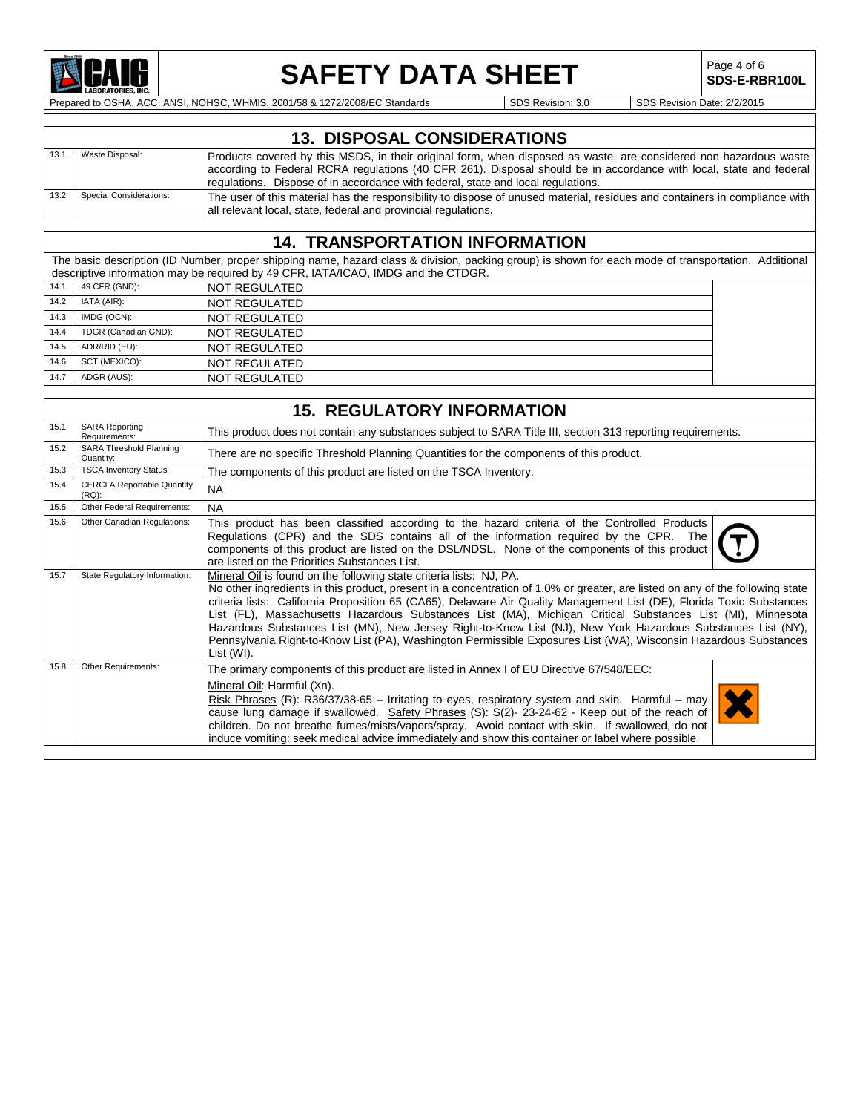

## **SAFETY DATA SHEET** Page 4 of 6

**SDS-E-RBR100L**

Prepared to OSHA, ACC, ANSI, NOHSC, WHMIS, 2001/58 & 1272/2008/EC Standards Superiories SDS Revision: 3.0 SDS Revision Date: 2/2/2015

|      | <b>13. DISPOSAL CONSIDERATIONS</b> |                                                                                                                                                                                                                                                                                                                             |  |  |
|------|------------------------------------|-----------------------------------------------------------------------------------------------------------------------------------------------------------------------------------------------------------------------------------------------------------------------------------------------------------------------------|--|--|
|      | Waste Disposal:                    | Products covered by this MSDS, in their original form, when disposed as waste, are considered non hazardous waste<br>according to Federal RCRA regulations (40 CFR 261). Disposal should be in accordance with local, state and federal<br>regulations. Dispose of in accordance with federal, state and local regulations. |  |  |
| 13.2 | <b>Special Considerations:</b>     | The user of this material has the responsibility to dispose of unused material, residues and containers in compliance with<br>all relevant local, state, federal and provincial regulations.                                                                                                                                |  |  |
|      |                                    |                                                                                                                                                                                                                                                                                                                             |  |  |

### **14. TRANSPORTATION INFORMATION**

The basic description (ID Number, proper shipping name, hazard class & division, packing group) is shown for each mode of transportation. Additional descriptive information may be required by 49 CFR, IATA/ICAO, IMDG and the CTDGR. 14.1 49 CFR (GND): NOT REGULATED<br>14.2 IATA (AIR): NOT REGULATED 14.2 IATA (AIR): NOT REGULATED<br>14.3 IMDG (OCN): NOT REGULATED 14.3 IMDG (OCN): NOT REGULATED<br>14.4 TDGR (Canadian GND): NOT REGULATED 14.4 TDGR (Canadian GND): NOT REGULATED<br>14.5 ADR/RID (EU): NOT REGUI ATED 14.5 ADR/RID (EU): NOT REGULATED<br>14.6 SCT (MEXICO): NOT REGUI ATED 14.6 SCT (MEXICO): NOT REGULATED<br>14.7 ADGR (AUS): NOT REGILIATED NOT REGULATED

|      |                                               | <b>15. REGULATORY INFORMATION</b>                                                                                                                                                                                                                                                                                                                                                                                                                                                                                                                                                                                                                                                             |
|------|-----------------------------------------------|-----------------------------------------------------------------------------------------------------------------------------------------------------------------------------------------------------------------------------------------------------------------------------------------------------------------------------------------------------------------------------------------------------------------------------------------------------------------------------------------------------------------------------------------------------------------------------------------------------------------------------------------------------------------------------------------------|
| 15.1 | <b>SARA Reporting</b><br>Requirements:        | This product does not contain any substances subject to SARA Title III, section 313 reporting requirements.                                                                                                                                                                                                                                                                                                                                                                                                                                                                                                                                                                                   |
| 15.2 | SARA Threshold Planning<br>Quantity:          | There are no specific Threshold Planning Quantities for the components of this product.                                                                                                                                                                                                                                                                                                                                                                                                                                                                                                                                                                                                       |
| 15.3 | <b>TSCA Inventory Status:</b>                 | The components of this product are listed on the TSCA Inventory.                                                                                                                                                                                                                                                                                                                                                                                                                                                                                                                                                                                                                              |
| 15.4 | <b>CERCLA Reportable Quantity</b><br>$(RQ)$ : | <b>NA</b>                                                                                                                                                                                                                                                                                                                                                                                                                                                                                                                                                                                                                                                                                     |
| 15.5 | Other Federal Requirements:                   | <b>NA</b>                                                                                                                                                                                                                                                                                                                                                                                                                                                                                                                                                                                                                                                                                     |
| 15.6 | Other Canadian Regulations:                   | This product has been classified according to the hazard criteria of the Controlled Products<br>Regulations (CPR) and the SDS contains all of the information required by the CPR. The<br>components of this product are listed on the DSL/NDSL. None of the components of this product<br>are listed on the Priorities Substances List.                                                                                                                                                                                                                                                                                                                                                      |
| 15.7 | State Regulatory Information:                 | Mineral Oil is found on the following state criteria lists: NJ, PA.<br>No other ingredients in this product, present in a concentration of 1.0% or greater, are listed on any of the following state<br>criteria lists: California Proposition 65 (CA65), Delaware Air Quality Management List (DE), Florida Toxic Substances<br>List (FL), Massachusetts Hazardous Substances List (MA), Michigan Critical Substances List (MI), Minnesota<br>Hazardous Substances List (MN), New Jersey Right-to-Know List (NJ), New York Hazardous Substances List (NY),<br>Pennsylvania Right-to-Know List (PA), Washington Permissible Exposures List (WA), Wisconsin Hazardous Substances<br>List (WI). |
| 15.8 | Other Requirements:                           | The primary components of this product are listed in Annex I of EU Directive 67/548/EEC:<br>Mineral Oil: Harmful (Xn).<br>Risk Phrases (R): R36/37/38-65 – Irritating to eyes, respiratory system and skin. Harmful – may<br>cause lung damage if swallowed. Safety Phrases (S): S(2)- 23-24-62 - Keep out of the reach of<br>children. Do not breathe fumes/mists/vapors/spray. Avoid contact with skin. If swallowed, do not<br>induce vomiting: seek medical advice immediately and show this container or label where possible.                                                                                                                                                           |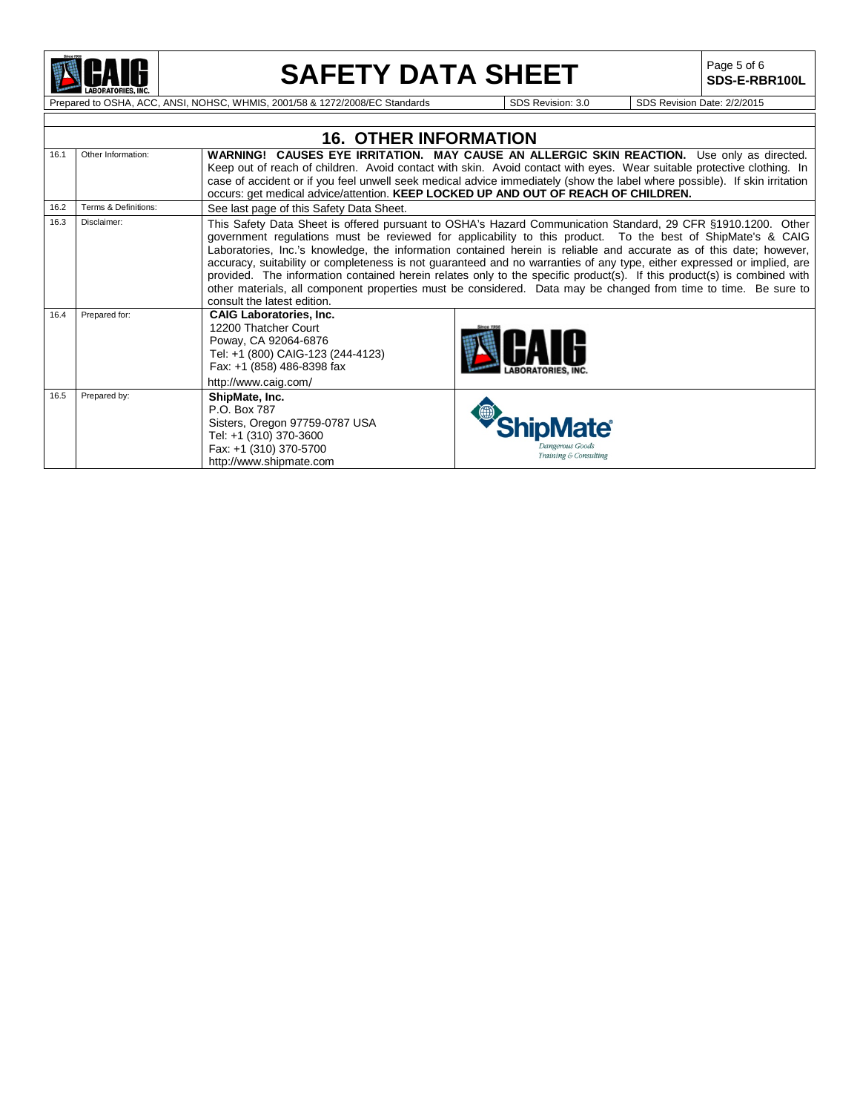

## **SAFETY DATA SHEET**

Page 5 of 6<br>**SDS-E-RBR100L** 

Prepared to OSHA, ACC, ANSI, NOHSC, WHMIS, 2001/58 & 1272/2008/EC Standards Superiorism: 3.0 SDS Revision: 3.0 SDS Revision Date: 2/2/2015

|      |                      | <b>16. OTHER INFORMATION</b>                                                                                                                                              |                                                                                                                                                                                                                                                                                                                                                                                                                                                                                                                                                                                                                                                                                                                             |
|------|----------------------|---------------------------------------------------------------------------------------------------------------------------------------------------------------------------|-----------------------------------------------------------------------------------------------------------------------------------------------------------------------------------------------------------------------------------------------------------------------------------------------------------------------------------------------------------------------------------------------------------------------------------------------------------------------------------------------------------------------------------------------------------------------------------------------------------------------------------------------------------------------------------------------------------------------------|
| 16.1 | Other Information:   | occurs: get medical advice/attention. KEEP LOCKED UP AND OUT OF REACH OF CHILDREN.                                                                                        | <b>WARNING! CAUSES EYE IRRITATION. MAY CAUSE AN ALLERGIC SKIN REACTION.</b> Use only as directed.<br>Keep out of reach of children. Avoid contact with skin. Avoid contact with eyes. Wear suitable protective clothing. In<br>case of accident or if you feel unwell seek medical advice immediately (show the label where possible). If skin irritation                                                                                                                                                                                                                                                                                                                                                                   |
| 16.2 | Terms & Definitions: | See last page of this Safety Data Sheet.                                                                                                                                  |                                                                                                                                                                                                                                                                                                                                                                                                                                                                                                                                                                                                                                                                                                                             |
| 16.3 | Disclaimer:          | consult the latest edition.                                                                                                                                               | This Safety Data Sheet is offered pursuant to OSHA's Hazard Communication Standard, 29 CFR §1910.1200. Other<br>government regulations must be reviewed for applicability to this product. To the best of ShipMate's & CAIG<br>Laboratories, Inc.'s knowledge, the information contained herein is reliable and accurate as of this date; however,<br>accuracy, suitability or completeness is not guaranteed and no warranties of any type, either expressed or implied, are<br>provided. The information contained herein relates only to the specific product(s). If this product(s) is combined with<br>other materials, all component properties must be considered. Data may be changed from time to time. Be sure to |
| 16.4 | Prepared for:        | <b>CAIG Laboratories, Inc.</b><br>12200 Thatcher Court<br>Poway, CA 92064-6876<br>Tel: +1 (800) CAIG-123 (244-4123)<br>Fax: +1 (858) 486-8398 fax<br>http://www.caig.com/ |                                                                                                                                                                                                                                                                                                                                                                                                                                                                                                                                                                                                                                                                                                                             |
| 16.5 | Prepared by:         | ShipMate, Inc.<br>P.O. Box 787<br>Sisters, Oregon 97759-0787 USA<br>Tel: +1 (310) 370-3600<br>Fax: +1 (310) 370-5700<br>http://www.shipmate.com                           | <b><i>ShipMate®</i></b><br>Dangerous Goods<br>Training & Consulting                                                                                                                                                                                                                                                                                                                                                                                                                                                                                                                                                                                                                                                         |